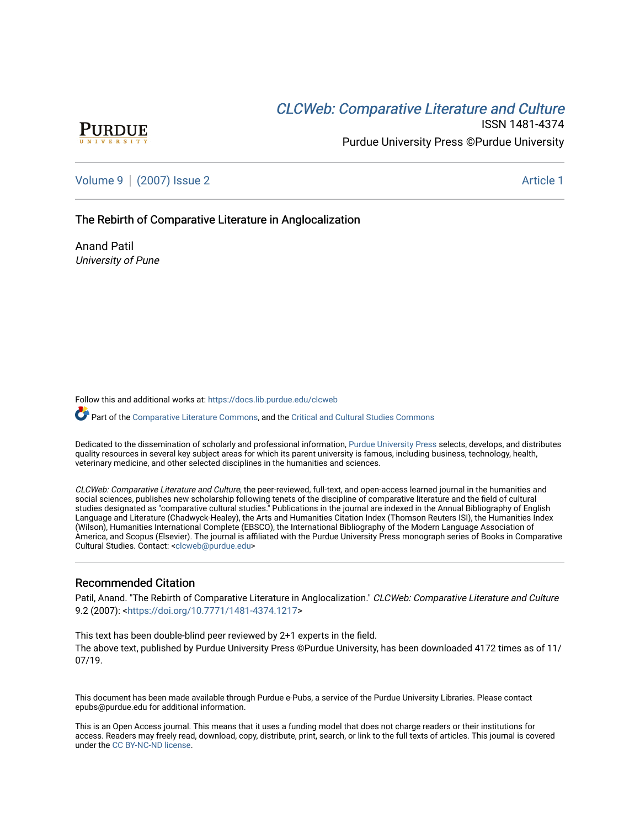# CLCW[eb: Comparative Liter](https://docs.lib.purdue.edu/clcweb)ature and Culture



ISSN 1481-4374 Purdue University Press ©Purdue University

[Volume 9](https://docs.lib.purdue.edu/clcweb/vol9) | [\(2007\) Issue 2](https://docs.lib.purdue.edu/clcweb/vol9/iss2) Article 1

The Rebirth of Comparative Literature in Anglocalization

Anand Patil University of Pune

Follow this and additional works at: [https://docs.lib.purdue.edu/clcweb](https://docs.lib.purdue.edu/clcweb?utm_source=docs.lib.purdue.edu%2Fclcweb%2Fvol9%2Fiss2%2F1&utm_medium=PDF&utm_campaign=PDFCoverPages)

Part of the [Comparative Literature Commons,](http://network.bepress.com/hgg/discipline/454?utm_source=docs.lib.purdue.edu%2Fclcweb%2Fvol9%2Fiss2%2F1&utm_medium=PDF&utm_campaign=PDFCoverPages) and the Critical and Cultural Studies Commons

Dedicated to the dissemination of scholarly and professional information, [Purdue University Press](http://www.thepress.purdue.edu/) selects, develops, and distributes quality resources in several key subject areas for which its parent university is famous, including business, technology, health, veterinary medicine, and other selected disciplines in the humanities and sciences.

CLCWeb: Comparative Literature and Culture, the peer-reviewed, full-text, and open-access learned journal in the humanities and social sciences, publishes new scholarship following tenets of the discipline of comparative literature and the field of cultural studies designated as "comparative cultural studies." Publications in the journal are indexed in the Annual Bibliography of English Language and Literature (Chadwyck-Healey), the Arts and Humanities Citation Index (Thomson Reuters ISI), the Humanities Index (Wilson), Humanities International Complete (EBSCO), the International Bibliography of the Modern Language Association of America, and Scopus (Elsevier). The journal is affiliated with the Purdue University Press monograph series of Books in Comparative Cultural Studies. Contact: [<clcweb@purdue.edu](mailto:clcweb@purdue.edu)>

### Recommended Citation

Patil, Anand. "The Rebirth of Comparative Literature in Anglocalization." CLCWeb: Comparative Literature and Culture 9.2 (2007): [<https://doi.org/10.7771/1481-4374.1217>](https://doi.org/10.7771/1481-4374.1217)

This text has been double-blind peer reviewed by 2+1 experts in the field. The above text, published by Purdue University Press ©Purdue University, has been downloaded 4172 times as of 11/ 07/19.

This document has been made available through Purdue e-Pubs, a service of the Purdue University Libraries. Please contact epubs@purdue.edu for additional information.

This is an Open Access journal. This means that it uses a funding model that does not charge readers or their institutions for access. Readers may freely read, download, copy, distribute, print, search, or link to the full texts of articles. This journal is covered under the [CC BY-NC-ND license.](https://creativecommons.org/licenses/by-nc-nd/4.0/)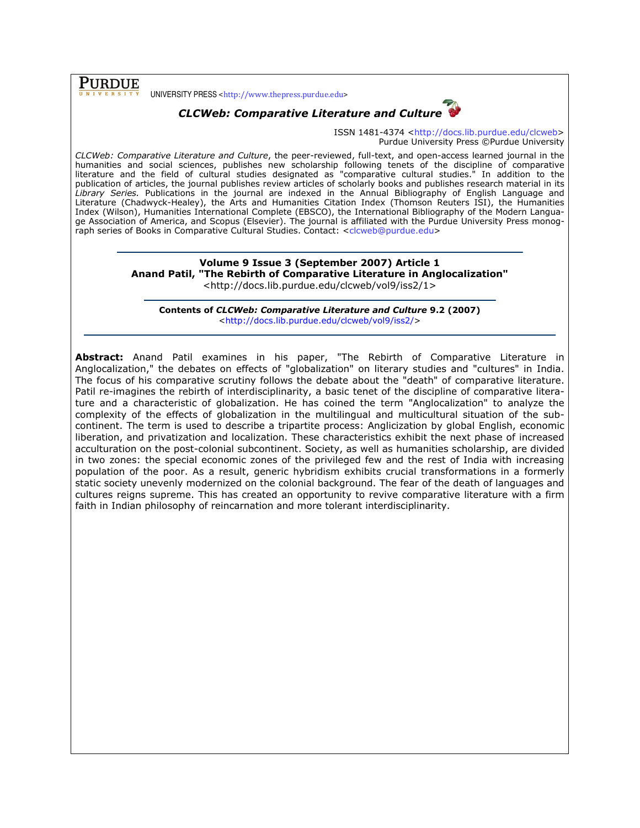**PURDUE** 

UNIVERSITY PRESS <http://www.thepress.purdue.edu>



ISSN 1481-4374 <http://docs.lib.purdue.edu/clcweb> Purdue University Press ©Purdue University

CLCWeb: Comparative Literature and Culture, the peer-reviewed, full-text, and open-access learned journal in the humanities and social sciences, publishes new scholarship following tenets of the discipline of comparative literature and the field of cultural studies designated as "comparative cultural studies." In addition to the publication of articles, the journal publishes review articles of scholarly books and publishes research material in its Library Series. Publications in the journal are indexed in the Annual Bibliography of English Language and Literature (Chadwyck-Healey), the Arts and Humanities Citation Index (Thomson Reuters ISI), the Humanities Index (Wilson), Humanities International Complete (EBSCO), the International Bibliography of the Modern Language Association of America, and Scopus (Elsevier). The journal is affiliated with the Purdue University Press monograph series of Books in Comparative Cultural Studies. Contact: <clcweb@purdue.edu>

#### Volume 9 Issue 3 (September 2007) Article 1 Anand Patil, "The Rebirth of Comparative Literature in Anglocalization" <http://docs.lib.purdue.edu/clcweb/vol9/iss2/1>

Contents of CLCWeb: Comparative Literature and Culture 9.2 (2007) <http://docs.lib.purdue.edu/clcweb/vol9/iss2/>

Abstract: Anand Patil examines in his paper, "The Rebirth of Comparative Literature in Anglocalization," the debates on effects of "globalization" on literary studies and "cultures" in India. The focus of his comparative scrutiny follows the debate about the "death" of comparative literature. Patil re-imagines the rebirth of interdisciplinarity, a basic tenet of the discipline of comparative literature and a characteristic of globalization. He has coined the term "Anglocalization" to analyze the complexity of the effects of globalization in the multilingual and multicultural situation of the subcontinent. The term is used to describe a tripartite process: Anglicization by global English, economic liberation, and privatization and localization. These characteristics exhibit the next phase of increased acculturation on the post-colonial subcontinent. Society, as well as humanities scholarship, are divided in two zones: the special economic zones of the privileged few and the rest of India with increasing population of the poor. As a result, generic hybridism exhibits crucial transformations in a formerly static society unevenly modernized on the colonial background. The fear of the death of languages and cultures reigns supreme. This has created an opportunity to revive comparative literature with a firm faith in Indian philosophy of reincarnation and more tolerant interdisciplinarity.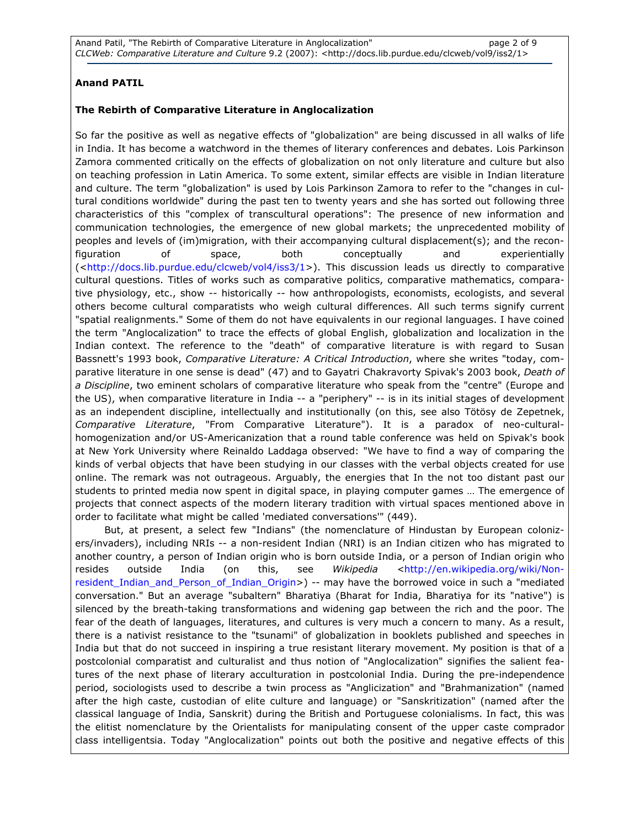## Anand PATIL

#### The Rebirth of Comparative Literature in Anglocalization

So far the positive as well as negative effects of "globalization" are being discussed in all walks of life in India. It has become a watchword in the themes of literary conferences and debates. Lois Parkinson Zamora commented critically on the effects of globalization on not only literature and culture but also on teaching profession in Latin America. To some extent, similar effects are visible in Indian literature and culture. The term "globalization" is used by Lois Parkinson Zamora to refer to the "changes in cultural conditions worldwide" during the past ten to twenty years and she has sorted out following three characteristics of this "complex of transcultural operations": The presence of new information and communication technologies, the emergence of new global markets; the unprecedented mobility of peoples and levels of (im)migration, with their accompanying cultural displacement(s); and the reconfiguration of space, both conceptually and experientially (<http://docs.lib.purdue.edu/clcweb/vol4/iss3/1>). This discussion leads us directly to comparative cultural questions. Titles of works such as comparative politics, comparative mathematics, comparative physiology, etc., show -- historically -- how anthropologists, economists, ecologists, and several others become cultural comparatists who weigh cultural differences. All such terms signify current "spatial realignments." Some of them do not have equivalents in our regional languages. I have coined the term "Anglocalization" to trace the effects of global English, globalization and localization in the Indian context. The reference to the "death" of comparative literature is with regard to Susan Bassnett's 1993 book, Comparative Literature: A Critical Introduction, where she writes "today, comparative literature in one sense is dead" (47) and to Gayatri Chakravorty Spivak's 2003 book, Death of a Discipline, two eminent scholars of comparative literature who speak from the "centre" (Europe and the US), when comparative literature in India -- a "periphery" -- is in its initial stages of development as an independent discipline, intellectually and institutionally (on this, see also Tötösy de Zepetnek, Comparative Literature, "From Comparative Literature"). It is a paradox of neo-culturalhomogenization and/or US-Americanization that a round table conference was held on Spivak's book at New York University where Reinaldo Laddaga observed: "We have to find a way of comparing the kinds of verbal objects that have been studying in our classes with the verbal objects created for use online. The remark was not outrageous. Arguably, the energies that In the not too distant past our students to printed media now spent in digital space, in playing computer games … The emergence of projects that connect aspects of the modern literary tradition with virtual spaces mentioned above in order to facilitate what might be called 'mediated conversations'" (449).

 But, at present, a select few "Indians" (the nomenclature of Hindustan by European colonizers/invaders), including NRIs -- a non-resident Indian (NRI) is an Indian citizen who has migrated to another country, a person of Indian origin who is born outside India, or a person of Indian origin who resides outside India (on this, see Wikipedia <http://en.wikipedia.org/wiki/Nonresident\_Indian\_and\_Person\_of\_Indian\_Origin>) -- may have the borrowed voice in such a "mediated conversation." But an average "subaltern" Bharatiya (Bharat for India, Bharatiya for its "native") is silenced by the breath-taking transformations and widening gap between the rich and the poor. The fear of the death of languages, literatures, and cultures is very much a concern to many. As a result, there is a nativist resistance to the "tsunami" of globalization in booklets published and speeches in India but that do not succeed in inspiring a true resistant literary movement. My position is that of a postcolonial comparatist and culturalist and thus notion of "Anglocalization" signifies the salient features of the next phase of literary acculturation in postcolonial India. During the pre-independence period, sociologists used to describe a twin process as "Anglicization" and "Brahmanization" (named after the high caste, custodian of elite culture and language) or "Sanskritization" (named after the classical language of India, Sanskrit) during the British and Portuguese colonialisms. In fact, this was the elitist nomenclature by the Orientalists for manipulating consent of the upper caste comprador class intelligentsia. Today "Anglocalization" points out both the positive and negative effects of this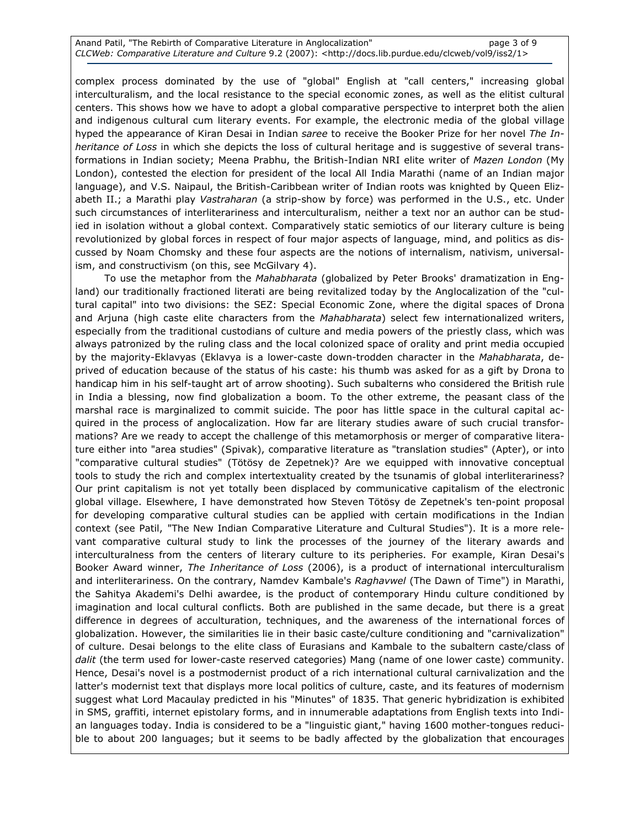Anand Patil, "The Rebirth of Comparative Literature in Anglocalization" page 3 of 9 CLCWeb: Comparative Literature and Culture 9.2 (2007): <http://docs.lib.purdue.edu/clcweb/vol9/iss2/1>

complex process dominated by the use of "global" English at "call centers," increasing global interculturalism, and the local resistance to the special economic zones, as well as the elitist cultural centers. This shows how we have to adopt a global comparative perspective to interpret both the alien and indigenous cultural cum literary events. For example, the electronic media of the global village hyped the appearance of Kiran Desai in Indian saree to receive the Booker Prize for her novel The Inheritance of Loss in which she depicts the loss of cultural heritage and is suggestive of several transformations in Indian society; Meena Prabhu, the British-Indian NRI elite writer of Mazen London (My London), contested the election for president of the local All India Marathi (name of an Indian major language), and V.S. Naipaul, the British-Caribbean writer of Indian roots was knighted by Queen Elizabeth II.; a Marathi play Vastraharan (a strip-show by force) was performed in the U.S., etc. Under such circumstances of interliterariness and interculturalism, neither a text nor an author can be studied in isolation without a global context. Comparatively static semiotics of our literary culture is being revolutionized by global forces in respect of four major aspects of language, mind, and politics as discussed by Noam Chomsky and these four aspects are the notions of internalism, nativism, universalism, and constructivism (on this, see McGilvary 4).

To use the metaphor from the Mahabharata (globalized by Peter Brooks' dramatization in England) our traditionally fractioned literati are being revitalized today by the Anglocalization of the "cultural capital" into two divisions: the SEZ: Special Economic Zone, where the digital spaces of Drona and Arjuna (high caste elite characters from the Mahabharata) select few internationalized writers, especially from the traditional custodians of culture and media powers of the priestly class, which was always patronized by the ruling class and the local colonized space of orality and print media occupied by the majority-Eklavyas (Eklavya is a lower-caste down-trodden character in the Mahabharata, deprived of education because of the status of his caste: his thumb was asked for as a gift by Drona to handicap him in his self-taught art of arrow shooting). Such subalterns who considered the British rule in India a blessing, now find globalization a boom. To the other extreme, the peasant class of the marshal race is marginalized to commit suicide. The poor has little space in the cultural capital acquired in the process of anglocalization. How far are literary studies aware of such crucial transformations? Are we ready to accept the challenge of this metamorphosis or merger of comparative literature either into "area studies" (Spivak), comparative literature as "translation studies" (Apter), or into "comparative cultural studies" (Tötösy de Zepetnek)? Are we equipped with innovative conceptual tools to study the rich and complex intertextuality created by the tsunamis of global interliterariness? Our print capitalism is not yet totally been displaced by communicative capitalism of the electronic global village. Elsewhere, I have demonstrated how Steven Tötösy de Zepetnek's ten-point proposal for developing comparative cultural studies can be applied with certain modifications in the Indian context (see Patil, "The New Indian Comparative Literature and Cultural Studies"). It is a more relevant comparative cultural study to link the processes of the journey of the literary awards and interculturalness from the centers of literary culture to its peripheries. For example, Kiran Desai's Booker Award winner, The Inheritance of Loss (2006), is a product of international interculturalism and interliterariness. On the contrary, Namdev Kambale's Raghavwel (The Dawn of Time") in Marathi, the Sahitya Akademi's Delhi awardee, is the product of contemporary Hindu culture conditioned by imagination and local cultural conflicts. Both are published in the same decade, but there is a great difference in degrees of acculturation, techniques, and the awareness of the international forces of globalization. However, the similarities lie in their basic caste/culture conditioning and "carnivalization" of culture. Desai belongs to the elite class of Eurasians and Kambale to the subaltern caste/class of dalit (the term used for lower-caste reserved categories) Mang (name of one lower caste) community. Hence, Desai's novel is a postmodernist product of a rich international cultural carnivalization and the latter's modernist text that displays more local politics of culture, caste, and its features of modernism suggest what Lord Macaulay predicted in his "Minutes" of 1835. That generic hybridization is exhibited in SMS, graffiti, internet epistolary forms, and in innumerable adaptations from English texts into Indian languages today. India is considered to be a "linguistic giant," having 1600 mother-tongues reducible to about 200 languages; but it seems to be badly affected by the globalization that encourages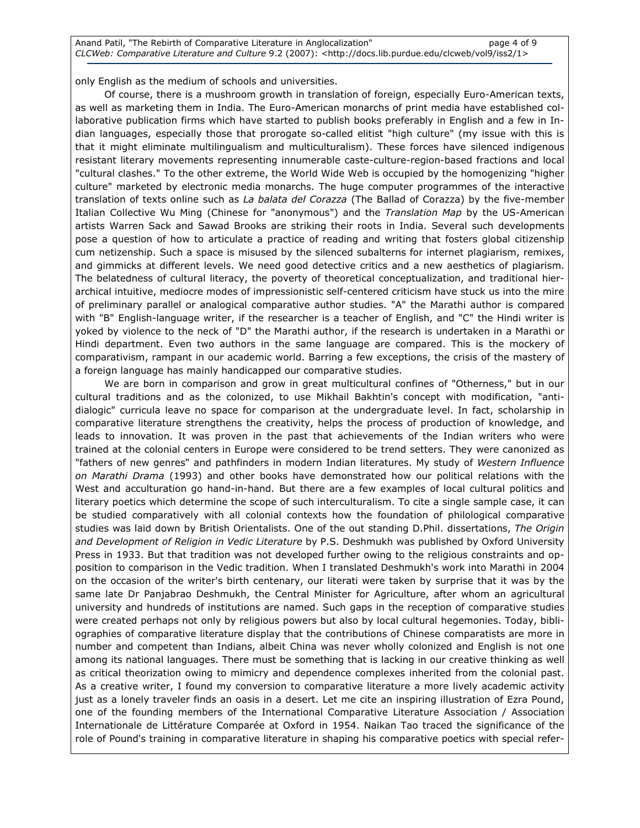Anand Patil, "The Rebirth of Comparative Literature in Anglocalization" page 4 of 9 CLCWeb: Comparative Literature and Culture 9.2 (2007): <http://docs.lib.purdue.edu/clcweb/vol9/iss2/1>

only English as the medium of schools and universities.

 Of course, there is a mushroom growth in translation of foreign, especially Euro-American texts, as well as marketing them in India. The Euro-American monarchs of print media have established collaborative publication firms which have started to publish books preferably in English and a few in Indian languages, especially those that prorogate so-called elitist "high culture" (my issue with this is that it might eliminate multilingualism and multiculturalism). These forces have silenced indigenous resistant literary movements representing innumerable caste-culture-region-based fractions and local "cultural clashes." To the other extreme, the World Wide Web is occupied by the homogenizing "higher culture" marketed by electronic media monarchs. The huge computer programmes of the interactive translation of texts online such as La balata del Corazza (The Ballad of Corazza) by the five-member Italian Collective Wu Ming (Chinese for "anonymous") and the Translation Map by the US-American artists Warren Sack and Sawad Brooks are striking their roots in India. Several such developments pose a question of how to articulate a practice of reading and writing that fosters global citizenship cum netizenship. Such a space is misused by the silenced subalterns for internet plagiarism, remixes, and gimmicks at different levels. We need good detective critics and a new aesthetics of plagiarism. The belatedness of cultural literacy, the poverty of theoretical conceptualization, and traditional hierarchical intuitive, mediocre modes of impressionistic self-centered criticism have stuck us into the mire of preliminary parallel or analogical comparative author studies. "A" the Marathi author is compared with "B" English-language writer, if the researcher is a teacher of English, and "C" the Hindi writer is yoked by violence to the neck of "D" the Marathi author, if the research is undertaken in a Marathi or Hindi department. Even two authors in the same language are compared. This is the mockery of comparativism, rampant in our academic world. Barring a few exceptions, the crisis of the mastery of a foreign language has mainly handicapped our comparative studies.

 We are born in comparison and grow in great multicultural confines of "Otherness," but in our cultural traditions and as the colonized, to use Mikhail Bakhtin's concept with modification, "antidialogic" curricula leave no space for comparison at the undergraduate level. In fact, scholarship in comparative literature strengthens the creativity, helps the process of production of knowledge, and leads to innovation. It was proven in the past that achievements of the Indian writers who were trained at the colonial centers in Europe were considered to be trend setters. They were canonized as "fathers of new genres" and pathfinders in modern Indian literatures. My study of Western Influence on Marathi Drama (1993) and other books have demonstrated how our political relations with the West and acculturation go hand-in-hand. But there are a few examples of local cultural politics and literary poetics which determine the scope of such interculturalism. To cite a single sample case, it can be studied comparatively with all colonial contexts how the foundation of philological comparative studies was laid down by British Orientalists. One of the out standing D.Phil. dissertations, The Origin and Development of Religion in Vedic Literature by P.S. Deshmukh was published by Oxford University Press in 1933. But that tradition was not developed further owing to the religious constraints and opposition to comparison in the Vedic tradition. When I translated Deshmukh's work into Marathi in 2004 on the occasion of the writer's birth centenary, our literati were taken by surprise that it was by the same late Dr Panjabrao Deshmukh, the Central Minister for Agriculture, after whom an agricultural university and hundreds of institutions are named. Such gaps in the reception of comparative studies were created perhaps not only by religious powers but also by local cultural hegemonies. Today, bibliographies of comparative literature display that the contributions of Chinese comparatists are more in number and competent than Indians, albeit China was never wholly colonized and English is not one among its national languages. There must be something that is lacking in our creative thinking as well as critical theorization owing to mimicry and dependence complexes inherited from the colonial past. As a creative writer, I found my conversion to comparative literature a more lively academic activity just as a lonely traveler finds an oasis in a desert. Let me cite an inspiring illustration of Ezra Pound, one of the founding members of the International Comparative Literature Association / Association Internationale de Littérature Comparée at Oxford in 1954. Naikan Tao traced the significance of the role of Pound's training in comparative literature in shaping his comparative poetics with special refer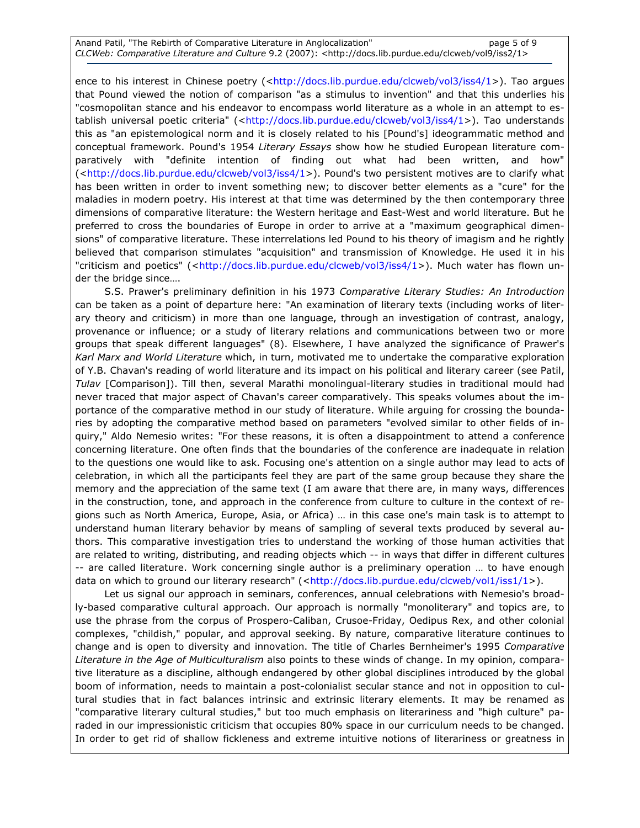ence to his interest in Chinese poetry (<http://docs.lib.purdue.edu/clcweb/vol3/iss4/1>). Tao argues that Pound viewed the notion of comparison "as a stimulus to invention" and that this underlies his "cosmopolitan stance and his endeavor to encompass world literature as a whole in an attempt to establish universal poetic criteria" (<http://docs.lib.purdue.edu/clcweb/vol3/iss4/1>). Tao understands this as "an epistemological norm and it is closely related to his [Pound's] ideogrammatic method and conceptual framework. Pound's 1954 Literary Essays show how he studied European literature comparatively with "definite intention of finding out what had been written, and how" (<http://docs.lib.purdue.edu/clcweb/vol3/iss4/1>). Pound's two persistent motives are to clarify what has been written in order to invent something new; to discover better elements as a "cure" for the maladies in modern poetry. His interest at that time was determined by the then contemporary three dimensions of comparative literature: the Western heritage and East-West and world literature. But he preferred to cross the boundaries of Europe in order to arrive at a "maximum geographical dimensions" of comparative literature. These interrelations led Pound to his theory of imagism and he rightly believed that comparison stimulates "acquisition" and transmission of Knowledge. He used it in his "criticism and poetics" (<http://docs.lib.purdue.edu/clcweb/vol3/iss4/1>). Much water has flown under the bridge since….

S.S. Prawer's preliminary definition in his 1973 Comparative Literary Studies: An Introduction can be taken as a point of departure here: "An examination of literary texts (including works of literary theory and criticism) in more than one language, through an investigation of contrast, analogy, provenance or influence; or a study of literary relations and communications between two or more groups that speak different languages" (8). Elsewhere, I have analyzed the significance of Prawer's Karl Marx and World Literature which, in turn, motivated me to undertake the comparative exploration of Y.B. Chavan's reading of world literature and its impact on his political and literary career (see Patil, Tulav [Comparison]). Till then, several Marathi monolingual-literary studies in traditional mould had never traced that major aspect of Chavan's career comparatively. This speaks volumes about the importance of the comparative method in our study of literature. While arguing for crossing the boundaries by adopting the comparative method based on parameters "evolved similar to other fields of inquiry," Aldo Nemesio writes: "For these reasons, it is often a disappointment to attend a conference concerning literature. One often finds that the boundaries of the conference are inadequate in relation to the questions one would like to ask. Focusing one's attention on a single author may lead to acts of celebration, in which all the participants feel they are part of the same group because they share the memory and the appreciation of the same text (I am aware that there are, in many ways, differences in the construction, tone, and approach in the conference from culture to culture in the context of regions such as North America, Europe, Asia, or Africa) … in this case one's main task is to attempt to understand human literary behavior by means of sampling of several texts produced by several authors. This comparative investigation tries to understand the working of those human activities that are related to writing, distributing, and reading objects which -- in ways that differ in different cultures -- are called literature. Work concerning single author is a preliminary operation … to have enough data on which to ground our literary research" (<http://docs.lib.purdue.edu/clcweb/vol1/iss1/1>).

 Let us signal our approach in seminars, conferences, annual celebrations with Nemesio's broadly-based comparative cultural approach. Our approach is normally "monoliterary" and topics are, to use the phrase from the corpus of Prospero-Caliban, Crusoe-Friday, Oedipus Rex, and other colonial complexes, "childish," popular, and approval seeking. By nature, comparative literature continues to change and is open to diversity and innovation. The title of Charles Bernheimer's 1995 Comparative Literature in the Age of Multiculturalism also points to these winds of change. In my opinion, comparative literature as a discipline, although endangered by other global disciplines introduced by the global boom of information, needs to maintain a post-colonialist secular stance and not in opposition to cultural studies that in fact balances intrinsic and extrinsic literary elements. It may be renamed as "comparative literary cultural studies," but too much emphasis on literariness and "high culture" paraded in our impressionistic criticism that occupies 80% space in our curriculum needs to be changed. In order to get rid of shallow fickleness and extreme intuitive notions of literariness or greatness in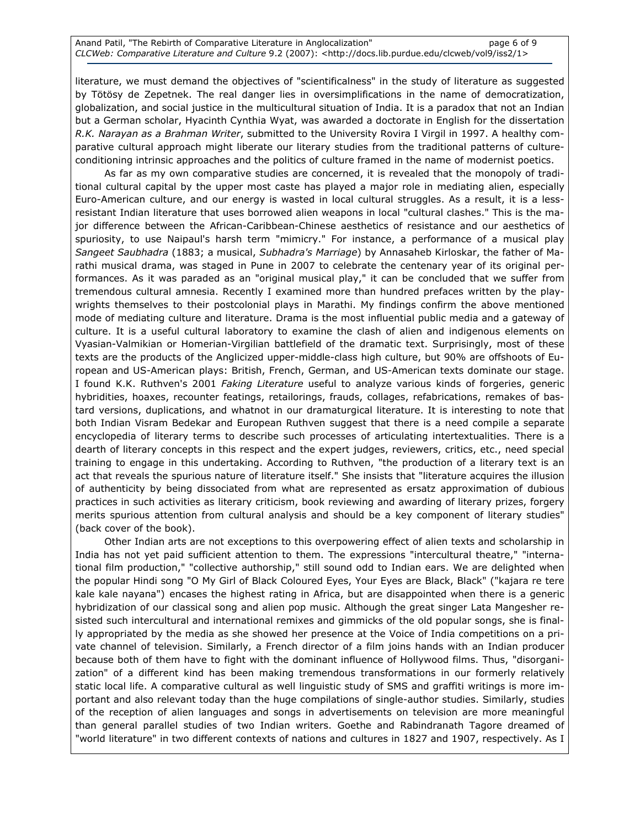literature, we must demand the objectives of "scientificalness" in the study of literature as suggested by Tötösy de Zepetnek. The real danger lies in oversimplifications in the name of democratization, globalization, and social justice in the multicultural situation of India. It is a paradox that not an Indian but a German scholar, Hyacinth Cynthia Wyat, was awarded a doctorate in English for the dissertation R.K. Narayan as a Brahman Writer, submitted to the University Rovira I Virgil in 1997. A healthy comparative cultural approach might liberate our literary studies from the traditional patterns of cultureconditioning intrinsic approaches and the politics of culture framed in the name of modernist poetics.

 As far as my own comparative studies are concerned, it is revealed that the monopoly of traditional cultural capital by the upper most caste has played a major role in mediating alien, especially Euro-American culture, and our energy is wasted in local cultural struggles. As a result, it is a lessresistant Indian literature that uses borrowed alien weapons in local "cultural clashes." This is the major difference between the African-Caribbean-Chinese aesthetics of resistance and our aesthetics of spuriosity, to use Naipaul's harsh term "mimicry." For instance, a performance of a musical play Sangeet Saubhadra (1883; a musical, Subhadra's Marriage) by Annasaheb Kirloskar, the father of Marathi musical drama, was staged in Pune in 2007 to celebrate the centenary year of its original performances. As it was paraded as an "original musical play," it can be concluded that we suffer from tremendous cultural amnesia. Recently I examined more than hundred prefaces written by the playwrights themselves to their postcolonial plays in Marathi. My findings confirm the above mentioned mode of mediating culture and literature. Drama is the most influential public media and a gateway of culture. It is a useful cultural laboratory to examine the clash of alien and indigenous elements on Vyasian-Valmikian or Homerian-Virgilian battlefield of the dramatic text. Surprisingly, most of these texts are the products of the Anglicized upper-middle-class high culture, but 90% are offshoots of European and US-American plays: British, French, German, and US-American texts dominate our stage. I found K.K. Ruthven's 2001 Faking Literature useful to analyze various kinds of forgeries, generic hybridities, hoaxes, recounter featings, retailorings, frauds, collages, refabrications, remakes of bastard versions, duplications, and whatnot in our dramaturgical literature. It is interesting to note that both Indian Visram Bedekar and European Ruthven suggest that there is a need compile a separate encyclopedia of literary terms to describe such processes of articulating intertextualities. There is a dearth of literary concepts in this respect and the expert judges, reviewers, critics, etc., need special training to engage in this undertaking. According to Ruthven, "the production of a literary text is an act that reveals the spurious nature of literature itself." She insists that "literature acquires the illusion of authenticity by being dissociated from what are represented as ersatz approximation of dubious practices in such activities as literary criticism, book reviewing and awarding of literary prizes, forgery merits spurious attention from cultural analysis and should be a key component of literary studies" (back cover of the book).

 Other Indian arts are not exceptions to this overpowering effect of alien texts and scholarship in India has not yet paid sufficient attention to them. The expressions "intercultural theatre," "international film production," "collective authorship," still sound odd to Indian ears. We are delighted when the popular Hindi song "O My Girl of Black Coloured Eyes, Your Eyes are Black, Black" ("kajara re tere kale kale nayana") encases the highest rating in Africa, but are disappointed when there is a generic hybridization of our classical song and alien pop music. Although the great singer Lata Mangesher resisted such intercultural and international remixes and gimmicks of the old popular songs, she is finally appropriated by the media as she showed her presence at the Voice of India competitions on a private channel of television. Similarly, a French director of a film joins hands with an Indian producer because both of them have to fight with the dominant influence of Hollywood films. Thus, "disorganization" of a different kind has been making tremendous transformations in our formerly relatively static local life. A comparative cultural as well linguistic study of SMS and graffiti writings is more important and also relevant today than the huge compilations of single-author studies. Similarly, studies of the reception of alien languages and songs in advertisements on television are more meaningful than general parallel studies of two Indian writers. Goethe and Rabindranath Tagore dreamed of "world literature" in two different contexts of nations and cultures in 1827 and 1907, respectively. As I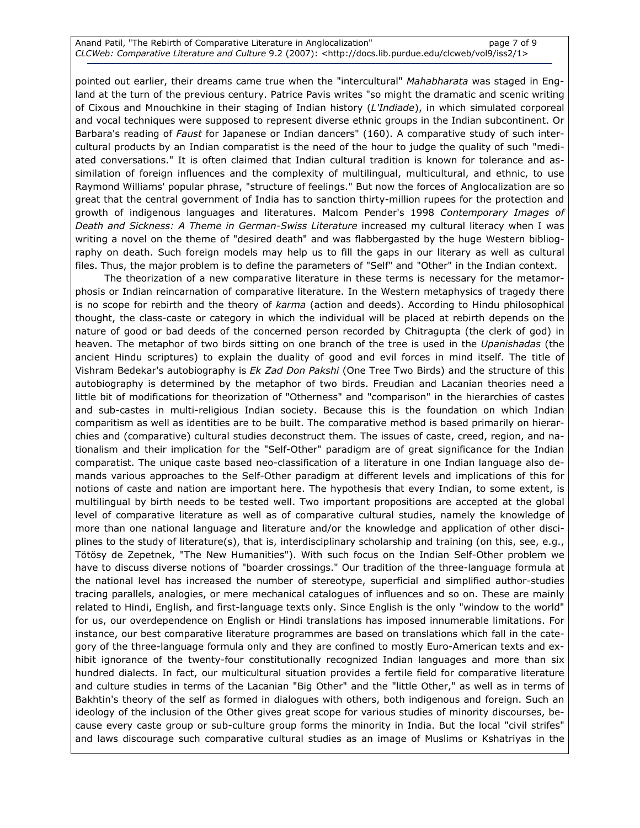Anand Patil, "The Rebirth of Comparative Literature in Anglocalization" example 2 of 9 CLCWeb: Comparative Literature and Culture 9.2 (2007): <http://docs.lib.purdue.edu/clcweb/vol9/iss2/1>

pointed out earlier, their dreams came true when the "intercultural" Mahabharata was staged in England at the turn of the previous century. Patrice Pavis writes "so might the dramatic and scenic writing of Cixous and Mnouchkine in their staging of Indian history (L'Indiade), in which simulated corporeal and vocal techniques were supposed to represent diverse ethnic groups in the Indian subcontinent. Or Barbara's reading of Faust for Japanese or Indian dancers" (160). A comparative study of such intercultural products by an Indian comparatist is the need of the hour to judge the quality of such "mediated conversations." It is often claimed that Indian cultural tradition is known for tolerance and assimilation of foreign influences and the complexity of multilingual, multicultural, and ethnic, to use Raymond Williams' popular phrase, "structure of feelings." But now the forces of Anglocalization are so great that the central government of India has to sanction thirty-million rupees for the protection and growth of indigenous languages and literatures. Malcom Pender's 1998 Contemporary Images of Death and Sickness: A Theme in German-Swiss Literature increased my cultural literacy when I was writing a novel on the theme of "desired death" and was flabbergasted by the huge Western bibliography on death. Such foreign models may help us to fill the gaps in our literary as well as cultural files. Thus, the major problem is to define the parameters of "Self" and "Other" in the Indian context.

 The theorization of a new comparative literature in these terms is necessary for the metamorphosis or Indian reincarnation of comparative literature. In the Western metaphysics of tragedy there is no scope for rebirth and the theory of karma (action and deeds). According to Hindu philosophical thought, the class-caste or category in which the individual will be placed at rebirth depends on the nature of good or bad deeds of the concerned person recorded by Chitragupta (the clerk of god) in heaven. The metaphor of two birds sitting on one branch of the tree is used in the Upanishadas (the ancient Hindu scriptures) to explain the duality of good and evil forces in mind itself. The title of Vishram Bedekar's autobiography is Ek Zad Don Pakshi (One Tree Two Birds) and the structure of this autobiography is determined by the metaphor of two birds. Freudian and Lacanian theories need a little bit of modifications for theorization of "Otherness" and "comparison" in the hierarchies of castes and sub-castes in multi-religious Indian society. Because this is the foundation on which Indian comparitism as well as identities are to be built. The comparative method is based primarily on hierarchies and (comparative) cultural studies deconstruct them. The issues of caste, creed, region, and nationalism and their implication for the "Self-Other" paradigm are of great significance for the Indian comparatist. The unique caste based neo-classification of a literature in one Indian language also demands various approaches to the Self-Other paradigm at different levels and implications of this for notions of caste and nation are important here. The hypothesis that every Indian, to some extent, is multilingual by birth needs to be tested well. Two important propositions are accepted at the global level of comparative literature as well as of comparative cultural studies, namely the knowledge of more than one national language and literature and/or the knowledge and application of other disciplines to the study of literature(s), that is, interdisciplinary scholarship and training (on this, see, e.g., Tötösy de Zepetnek, "The New Humanities"). With such focus on the Indian Self-Other problem we have to discuss diverse notions of "boarder crossings." Our tradition of the three-language formula at the national level has increased the number of stereotype, superficial and simplified author-studies tracing parallels, analogies, or mere mechanical catalogues of influences and so on. These are mainly related to Hindi, English, and first-language texts only. Since English is the only "window to the world" for us, our overdependence on English or Hindi translations has imposed innumerable limitations. For instance, our best comparative literature programmes are based on translations which fall in the category of the three-language formula only and they are confined to mostly Euro-American texts and exhibit ignorance of the twenty-four constitutionally recognized Indian languages and more than six hundred dialects. In fact, our multicultural situation provides a fertile field for comparative literature and culture studies in terms of the Lacanian "Big Other" and the "little Other," as well as in terms of Bakhtin's theory of the self as formed in dialogues with others, both indigenous and foreign. Such an ideology of the inclusion of the Other gives great scope for various studies of minority discourses, because every caste group or sub-culture group forms the minority in India. But the local "civil strifes" and laws discourage such comparative cultural studies as an image of Muslims or Kshatriyas in the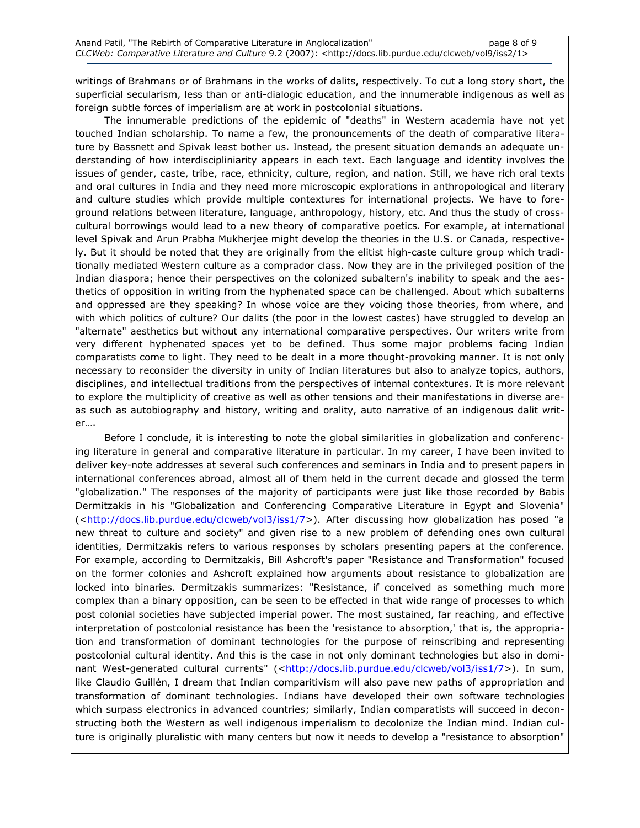writings of Brahmans or of Brahmans in the works of dalits, respectively. To cut a long story short, the superficial secularism, less than or anti-dialogic education, and the innumerable indigenous as well as foreign subtle forces of imperialism are at work in postcolonial situations.

 The innumerable predictions of the epidemic of "deaths" in Western academia have not yet touched Indian scholarship. To name a few, the pronouncements of the death of comparative literature by Bassnett and Spivak least bother us. Instead, the present situation demands an adequate understanding of how interdiscipliniarity appears in each text. Each language and identity involves the issues of gender, caste, tribe, race, ethnicity, culture, region, and nation. Still, we have rich oral texts and oral cultures in India and they need more microscopic explorations in anthropological and literary and culture studies which provide multiple contextures for international projects. We have to foreground relations between literature, language, anthropology, history, etc. And thus the study of crosscultural borrowings would lead to a new theory of comparative poetics. For example, at international level Spivak and Arun Prabha Mukherjee might develop the theories in the U.S. or Canada, respectively. But it should be noted that they are originally from the elitist high-caste culture group which traditionally mediated Western culture as a comprador class. Now they are in the privileged position of the Indian diaspora; hence their perspectives on the colonized subaltern's inability to speak and the aesthetics of opposition in writing from the hyphenated space can be challenged. About which subalterns and oppressed are they speaking? In whose voice are they voicing those theories, from where, and with which politics of culture? Our dalits (the poor in the lowest castes) have struggled to develop an "alternate" aesthetics but without any international comparative perspectives. Our writers write from very different hyphenated spaces yet to be defined. Thus some major problems facing Indian comparatists come to light. They need to be dealt in a more thought-provoking manner. It is not only necessary to reconsider the diversity in unity of Indian literatures but also to analyze topics, authors, disciplines, and intellectual traditions from the perspectives of internal contextures. It is more relevant to explore the multiplicity of creative as well as other tensions and their manifestations in diverse areas such as autobiography and history, writing and orality, auto narrative of an indigenous dalit writer….

 Before I conclude, it is interesting to note the global similarities in globalization and conferencing literature in general and comparative literature in particular. In my career, I have been invited to deliver key-note addresses at several such conferences and seminars in India and to present papers in international conferences abroad, almost all of them held in the current decade and glossed the term "globalization." The responses of the majority of participants were just like those recorded by Babis Dermitzakis in his "Globalization and Conferencing Comparative Literature in Egypt and Slovenia" (<http://docs.lib.purdue.edu/clcweb/vol3/iss1/7>). After discussing how globalization has posed "a new threat to culture and society" and given rise to a new problem of defending ones own cultural identities, Dermitzakis refers to various responses by scholars presenting papers at the conference. For example, according to Dermitzakis, Bill Ashcroft's paper "Resistance and Transformation" focused on the former colonies and Ashcroft explained how arguments about resistance to globalization are locked into binaries. Dermitzakis summarizes: "Resistance, if conceived as something much more complex than a binary opposition, can be seen to be effected in that wide range of processes to which post colonial societies have subjected imperial power. The most sustained, far reaching, and effective interpretation of postcolonial resistance has been the 'resistance to absorption,' that is, the appropriation and transformation of dominant technologies for the purpose of reinscribing and representing postcolonial cultural identity. And this is the case in not only dominant technologies but also in dominant West-generated cultural currents" (<http://docs.lib.purdue.edu/clcweb/vol3/iss1/7>). In sum, like Claudio Guillén, I dream that Indian comparitivism will also pave new paths of appropriation and transformation of dominant technologies. Indians have developed their own software technologies which surpass electronics in advanced countries; similarly, Indian comparatists will succeed in deconstructing both the Western as well indigenous imperialism to decolonize the Indian mind. Indian culture is originally pluralistic with many centers but now it needs to develop a "resistance to absorption"